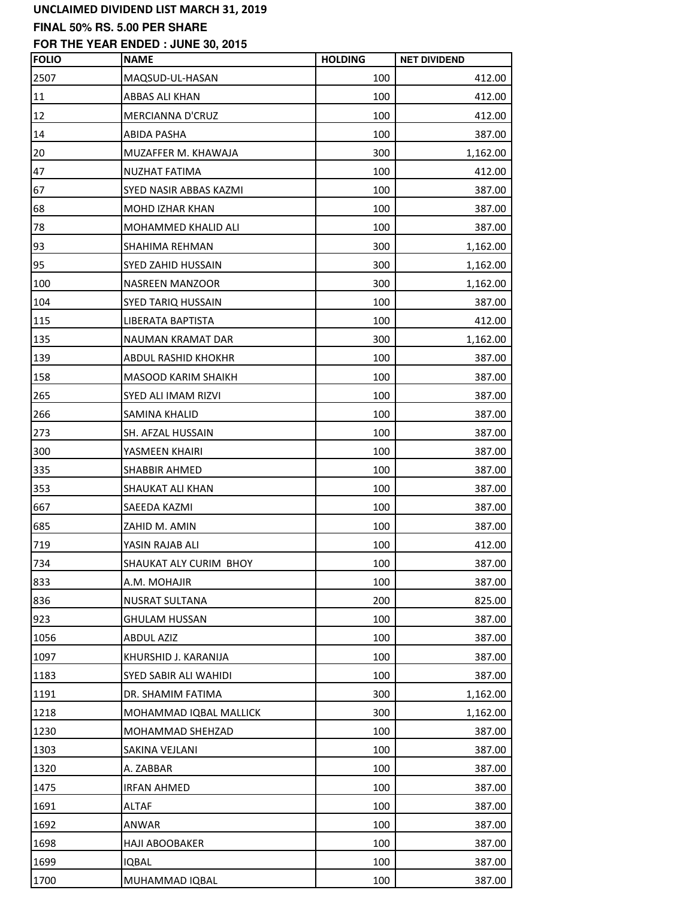### **FINAL 50% RS. 5.00 PER SHARE**

| <b>FOLIO</b> | <b>NAME</b>                   | <b>HOLDING</b> | <b>NET DIVIDEND</b> |
|--------------|-------------------------------|----------------|---------------------|
| 2507         | MAQSUD-UL-HASAN               | 100            | 412.00              |
| 11           | ABBAS ALI KHAN                | 100            | 412.00              |
| 12           | <b>MERCIANNA D'CRUZ</b>       | 100            | 412.00              |
| 14           | <b>ABIDA PASHA</b>            | 100            | 387.00              |
| 20           | MUZAFFER M. KHAWAJA           | 300            | 1,162.00            |
| 47           | NUZHAT FATIMA                 | 100            | 412.00              |
| 67           | <b>SYED NASIR ABBAS KAZMI</b> | 100            | 387.00              |
| 68           | <b>MOHD IZHAR KHAN</b>        | 100            | 387.00              |
| 78           | MOHAMMED KHALID ALI           | 100            | 387.00              |
| 93           | SHAHIMA REHMAN                | 300            | 1,162.00            |
| 95           | SYED ZAHID HUSSAIN            | 300            | 1,162.00            |
| 100          | NASREEN MANZOOR               | 300            | 1,162.00            |
| 104          | SYED TARIQ HUSSAIN            | 100            | 387.00              |
| 115          | LIBERATA BAPTISTA             | 100            | 412.00              |
| 135          | NAUMAN KRAMAT DAR             | 300            | 1,162.00            |
| 139          | ABDUL RASHID KHOKHR           | 100            | 387.00              |
| 158          | MASOOD KARIM SHAIKH           | 100            | 387.00              |
| 265          | SYED ALI IMAM RIZVI           | 100            | 387.00              |
| 266          | SAMINA KHALID                 | 100            | 387.00              |
| 273          | SH. AFZAL HUSSAIN             | 100            | 387.00              |
| 300          | YASMEEN KHAIRI                | 100            | 387.00              |
| 335          | <b>SHABBIR AHMED</b>          | 100            | 387.00              |
| 353          | SHAUKAT ALI KHAN              | 100            | 387.00              |
| 667          | SAEEDA KAZMI                  | 100            | 387.00              |
| 685          | ZAHID M. AMIN                 | 100            | 387.00              |
| 719          | YASIN RAJAB ALI               | 100            | 412.00              |
| 734          | SHAUKAT ALY CURIM BHOY        | 100            | 387.00              |
| 833          | A.M. MOHAJIR                  | 100            | 387.00              |
| 836          | NUSRAT SULTANA                | 200            | 825.00              |
| 923          | <b>GHULAM HUSSAN</b>          | 100            | 387.00              |
| 1056         | <b>ABDUL AZIZ</b>             | 100            | 387.00              |
| 1097         | KHURSHID J. KARANIJA          | 100            | 387.00              |
| 1183         | <b>SYED SABIR ALI WAHIDI</b>  | 100            | 387.00              |
| 1191         | DR. SHAMIM FATIMA             | 300            | 1,162.00            |
| 1218         | MOHAMMAD IQBAL MALLICK        | 300            | 1,162.00            |
| 1230         | MOHAMMAD SHEHZAD              | 100            | 387.00              |
| 1303         | SAKINA VEJLANI                | 100            | 387.00              |
| 1320         | A. ZABBAR                     | 100            | 387.00              |
| 1475         | <b>IRFAN AHMED</b>            | 100            | 387.00              |
| 1691         | ALTAF                         | 100            | 387.00              |
| 1692         | ANWAR                         | 100            | 387.00              |
| 1698         | <b>HAJI ABOOBAKER</b>         | 100            | 387.00              |
| 1699         | <b>IQBAL</b>                  | 100            | 387.00              |
| 1700         | MUHAMMAD IQBAL                | 100            | 387.00              |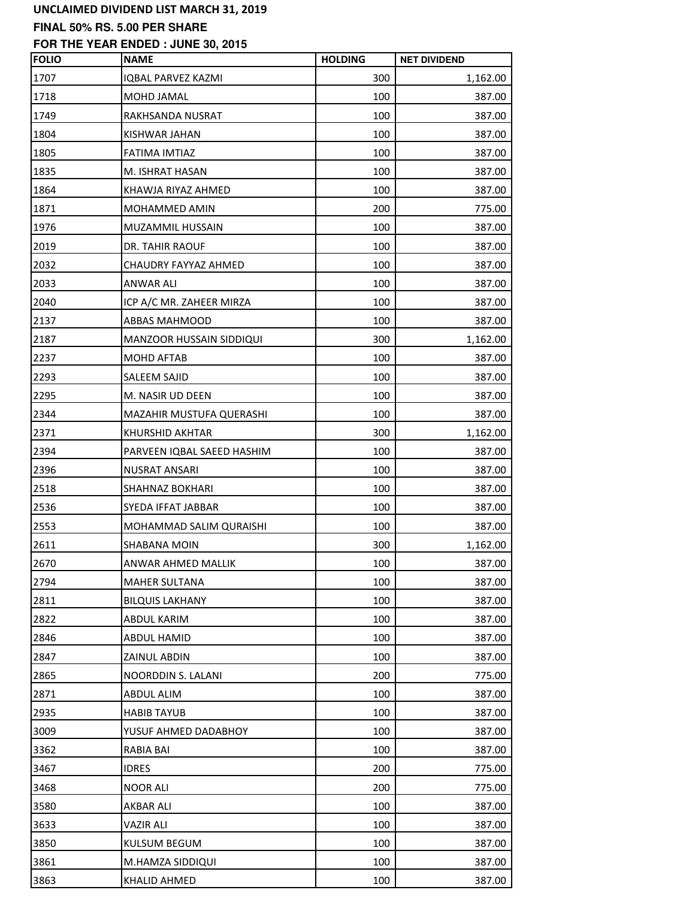## **FINAL 50% RS. 5.00 PER SHARE**

| <b>FOLIO</b> | <b>NAME</b>                | <b>HOLDING</b> | <b>NET DIVIDEND</b> |
|--------------|----------------------------|----------------|---------------------|
| 1707         | IQBAL PARVEZ KAZMI         | 300            | 1,162.00            |
| 1718         | MOHD JAMAL                 | 100            | 387.00              |
| 1749         | RAKHSANDA NUSRAT           | 100            | 387.00              |
| 1804         | KISHWAR JAHAN              | 100            | 387.00              |
| 1805         | FATIMA IMTIAZ              | 100            | 387.00              |
| 1835         | M. ISHRAT HASAN            | 100            | 387.00              |
| 1864         | KHAWJA RIYAZ AHMED         | 100            | 387.00              |
| 1871         | <b>MOHAMMED AMIN</b>       | 200            | 775.00              |
| 1976         | MUZAMMIL HUSSAIN           | 100            | 387.00              |
| 2019         | DR. TAHIR RAOUF            | 100            | 387.00              |
| 2032         | CHAUDRY FAYYAZ AHMED       | 100            | 387.00              |
| 2033         | ANWAR ALI                  | 100            | 387.00              |
| 2040         | ICP A/C MR. ZAHEER MIRZA   | 100            | 387.00              |
| 2137         | <b>ABBAS MAHMOOD</b>       | 100            | 387.00              |
| 2187         | MANZOOR HUSSAIN SIDDIQUI   | 300            | 1,162.00            |
| 2237         | MOHD AFTAB                 | 100            | 387.00              |
| 2293         | SALEEM SAJID               | 100            | 387.00              |
| 2295         | M. NASIR UD DEEN           | 100            | 387.00              |
| 2344         | MAZAHIR MUSTUFA QUERASHI   | 100            | 387.00              |
| 2371         | KHURSHID AKHTAR            | 300            | 1,162.00            |
| 2394         | PARVEEN IQBAL SAEED HASHIM | 100            | 387.00              |
| 2396         | NUSRAT ANSARI              | 100            | 387.00              |
| 2518         | SHAHNAZ BOKHARI            | 100            | 387.00              |
| 2536         | SYEDA IFFAT JABBAR         | 100            | 387.00              |
| 2553         | MOHAMMAD SALIM QURAISHI    | 100            | 387.00              |
| 2611         | SHABANA MOIN               | 300            | 1,162.00            |
| 2670         | ANWAR AHMED MALLIK         | 100            | 387.00              |
| 2794         | <b>MAHER SULTANA</b>       | 100            | 387.00              |
| 2811         | <b>BILQUIS LAKHANY</b>     | 100            | 387.00              |
| 2822         | ABDUL KARIM                | 100            | 387.00              |
| 2846         | <b>ABDUL HAMID</b>         | 100            | 387.00              |
| 2847         | ZAINUL ABDIN               | 100            | 387.00              |
| 2865         | NOORDDIN S. LALANI         | 200            | 775.00              |
| 2871         | <b>ABDUL ALIM</b>          | 100            | 387.00              |
| 2935         | <b>HABIB TAYUB</b>         | 100            | 387.00              |
| 3009         | YUSUF AHMED DADABHOY       | 100            | 387.00              |
| 3362         | <b>RABIA BAI</b>           | 100            | 387.00              |
| 3467         | <b>IDRES</b>               | 200            | 775.00              |
| 3468         | NOOR ALI                   | 200            | 775.00              |
| 3580         | AKBAR ALI                  | 100            | 387.00              |
| 3633         | VAZIR ALI                  | 100            | 387.00              |
| 3850         | KULSUM BEGUM               | 100            | 387.00              |
| 3861         | M.HAMZA SIDDIQUI           | 100            | 387.00              |
| 3863         | KHALID AHMED               | 100            | 387.00              |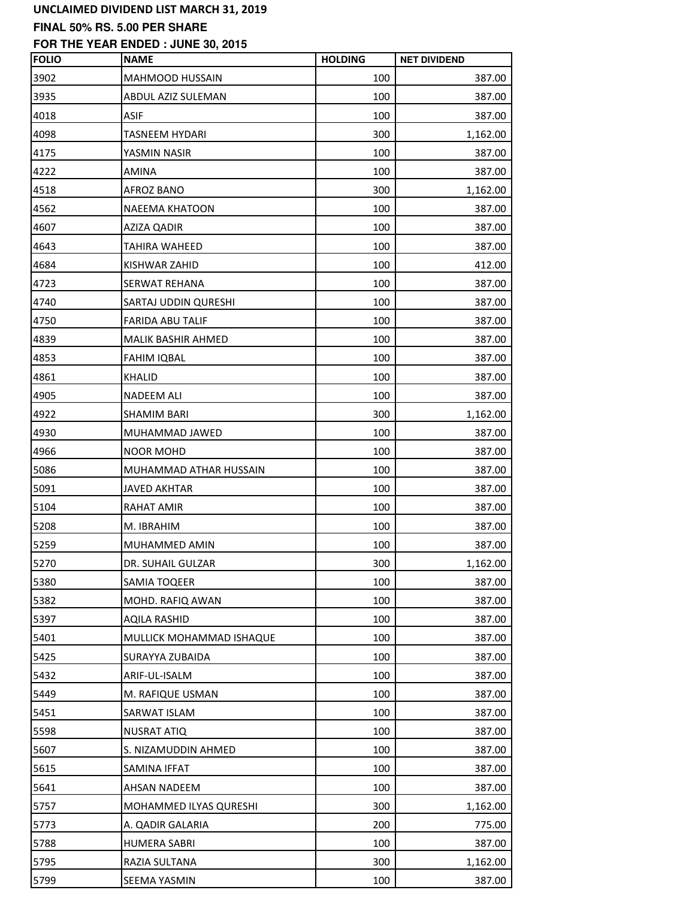## **FINAL 50% RS. 5.00 PER SHARE**

| <b>FOLIO</b> | <b>NAME</b>               | <b>HOLDING</b> | <b>NET DIVIDEND</b> |
|--------------|---------------------------|----------------|---------------------|
| 3902         | MAHMOOD HUSSAIN           | 100            | 387.00              |
| 3935         | ABDUL AZIZ SULEMAN        | 100            | 387.00              |
| 4018         | <b>ASIF</b>               | 100            | 387.00              |
| 4098         | TASNEEM HYDARI            | 300            | 1,162.00            |
| 4175         | YASMIN NASIR              | 100            | 387.00              |
| 4222         | <b>AMINA</b>              | 100            | 387.00              |
| 4518         | <b>AFROZ BANO</b>         | 300            | 1,162.00            |
| 4562         | NAEEMA KHATOON            | 100            | 387.00              |
| 4607         | AZIZA QADIR               | 100            | 387.00              |
| 4643         | <b>TAHIRA WAHEED</b>      | 100            | 387.00              |
| 4684         | KISHWAR ZAHID             | 100            | 412.00              |
| 4723         | SERWAT REHANA             | 100            | 387.00              |
| 4740         | SARTAJ UDDIN QURESHI      | 100            | 387.00              |
| 4750         | <b>FARIDA ABU TALIF</b>   | 100            | 387.00              |
| 4839         | <b>MALIK BASHIR AHMED</b> | 100            | 387.00              |
| 4853         | <b>FAHIM IQBAL</b>        | 100            | 387.00              |
| 4861         | <b>KHALID</b>             | 100            | 387.00              |
| 4905         | <b>NADEEM ALI</b>         | 100            | 387.00              |
| 4922         | <b>SHAMIM BARI</b>        | 300            | 1,162.00            |
| 4930         | MUHAMMAD JAWED            | 100            | 387.00              |
| 4966         | <b>NOOR MOHD</b>          | 100            | 387.00              |
| 5086         | MUHAMMAD ATHAR HUSSAIN    | 100            | 387.00              |
| 5091         | <b>JAVED AKHTAR</b>       | 100            | 387.00              |
| 5104         | <b>RAHAT AMIR</b>         | 100            | 387.00              |
| 5208         | M. IBRAHIM                | 100            | 387.00              |
| 5259         | MUHAMMED AMIN             | 100            | 387.00              |
| 5270         | DR. SUHAIL GULZAR         | 300            | 1,162.00            |
| 5380         | SAMIA TOQEER              | 100            | 387.00              |
| 5382         | MOHD. RAFIQ AWAN          | 100            | 387.00              |
| 5397         | <b>AQILA RASHID</b>       | 100            | 387.00              |
| 5401         | MULLICK MOHAMMAD ISHAQUE  | 100            | 387.00              |
| 5425         | SURAYYA ZUBAIDA           | 100            | 387.00              |
| 5432         | ARIF-UL-ISALM             | 100            | 387.00              |
| 5449         | M. RAFIQUE USMAN          | 100            | 387.00              |
| 5451         | SARWAT ISLAM              | 100            | 387.00              |
| 5598         | <b>NUSRAT ATIQ</b>        | 100            | 387.00              |
| 5607         | S. NIZAMUDDIN AHMED       | 100            | 387.00              |
| 5615         | SAMINA IFFAT              | 100            | 387.00              |
| 5641         | AHSAN NADEEM              | 100            | 387.00              |
| 5757         | MOHAMMED ILYAS QURESHI    | 300            | 1,162.00            |
| 5773         | A. QADIR GALARIA          | 200            | 775.00              |
| 5788         | <b>HUMERA SABRI</b>       | 100            | 387.00              |
| 5795         | RAZIA SULTANA             | 300            | 1,162.00            |
| 5799         | SEEMA YASMIN              | 100            | 387.00              |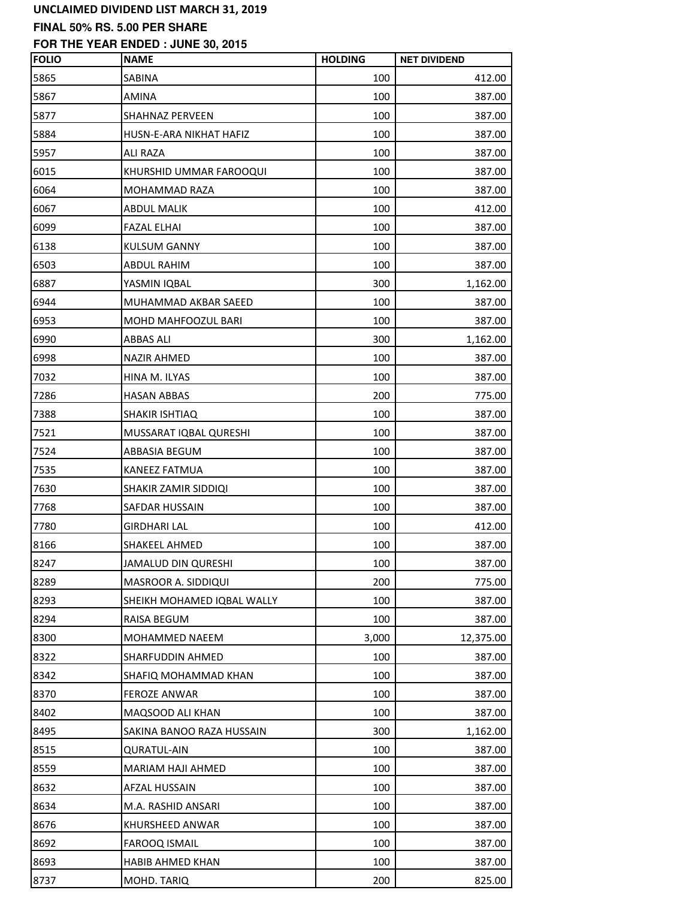## **FINAL 50% RS. 5.00 PER SHARE**

| <b>FOLIO</b> | <b>NAME</b>                | <b>HOLDING</b> | <b>NET DIVIDEND</b> |
|--------------|----------------------------|----------------|---------------------|
| 5865         | SABINA                     | 100            | 412.00              |
| 5867         | <b>AMINA</b>               | 100            | 387.00              |
| 5877         | <b>SHAHNAZ PERVEEN</b>     | 100            | 387.00              |
| 5884         | HUSN-E-ARA NIKHAT HAFIZ    | 100            | 387.00              |
| 5957         | <b>ALI RAZA</b>            | 100            | 387.00              |
| 6015         | KHURSHID UMMAR FAROOQUI    | 100            | 387.00              |
| 6064         | <b>MOHAMMAD RAZA</b>       | 100            | 387.00              |
| 6067         | <b>ABDUL MALIK</b>         | 100            | 412.00              |
| 6099         | <b>FAZAL ELHAI</b>         | 100            | 387.00              |
| 6138         | <b>KULSUM GANNY</b>        | 100            | 387.00              |
| 6503         | ABDUL RAHIM                | 100            | 387.00              |
| 6887         | YASMIN IQBAL               | 300            | 1,162.00            |
| 6944         | MUHAMMAD AKBAR SAEED       | 100            | 387.00              |
| 6953         | MOHD MAHFOOZUL BARI        | 100            | 387.00              |
| 6990         | <b>ABBAS ALI</b>           | 300            | 1,162.00            |
| 6998         | <b>NAZIR AHMED</b>         | 100            | 387.00              |
| 7032         | HINA M. ILYAS              | 100            | 387.00              |
| 7286         | <b>HASAN ABBAS</b>         | 200            | 775.00              |
| 7388         | SHAKIR ISHTIAQ             | 100            | 387.00              |
| 7521         | MUSSARAT IQBAL QURESHI     | 100            | 387.00              |
| 7524         | ABBASIA BEGUM              | 100            | 387.00              |
| 7535         | KANEEZ FATMUA              | 100            | 387.00              |
| 7630         | SHAKIR ZAMIR SIDDIQI       | 100            | 387.00              |
| 7768         | SAFDAR HUSSAIN             | 100            | 387.00              |
| 7780         | <b>GIRDHARI LAL</b>        | 100            | 412.00              |
| 8166         | SHAKEEL AHMED              | 100            | 387.00              |
| 8247         | JAMALUD DIN QURESHI        | 100            | 387.00              |
| 8289         | MASROOR A. SIDDIQUI        | 200            | 775.00              |
| 8293         | SHEIKH MOHAMED IQBAL WALLY | 100            | 387.00              |
| 8294         | RAISA BEGUM                | 100            | 387.00              |
| 8300         | MOHAMMED NAEEM             | 3,000          | 12,375.00           |
| 8322         | SHARFUDDIN AHMED           | 100            | 387.00              |
| 8342         | SHAFIQ MOHAMMAD KHAN       | 100            | 387.00              |
| 8370         | <b>FEROZE ANWAR</b>        | 100            | 387.00              |
| 8402         | MAQSOOD ALI KHAN           | 100            | 387.00              |
| 8495         | SAKINA BANOO RAZA HUSSAIN  | 300            | 1,162.00            |
| 8515         | <b>QURATUL-AIN</b>         | 100            | 387.00              |
| 8559         | MARIAM HAJI AHMED          | 100            | 387.00              |
| 8632         | AFZAL HUSSAIN              | 100            | 387.00              |
| 8634         | M.A. RASHID ANSARI         | 100            | 387.00              |
| 8676         | KHURSHEED ANWAR            | 100            | 387.00              |
| 8692         | <b>FAROOQ ISMAIL</b>       | 100            | 387.00              |
| 8693         | HABIB AHMED KHAN           | 100            | 387.00              |
| 8737         | MOHD. TARIQ                | 200            | 825.00              |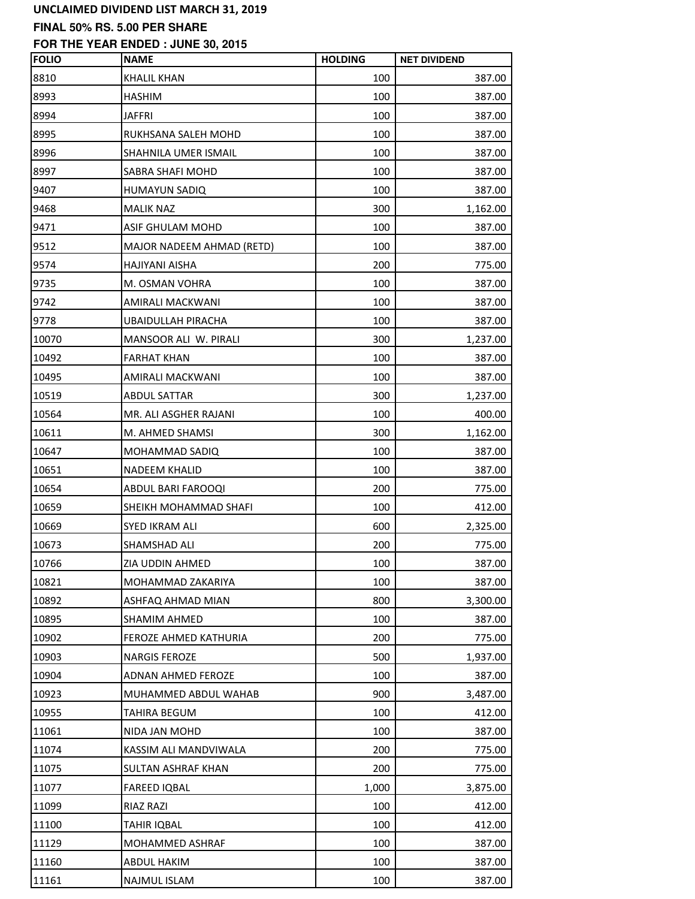# **FINAL 50% RS. 5.00 PER SHARE**

| <b>FOLIO</b> | <b>NAME</b>               | <b>HOLDING</b> | <b>NET DIVIDEND</b> |
|--------------|---------------------------|----------------|---------------------|
| 8810         | <b>KHALIL KHAN</b>        | 100            | 387.00              |
| 8993         | <b>HASHIM</b>             | 100            | 387.00              |
| 8994         | <b>JAFFRI</b>             | 100            | 387.00              |
| 8995         | RUKHSANA SALEH MOHD       | 100            | 387.00              |
| 8996         | SHAHNILA UMER ISMAIL      | 100            | 387.00              |
| 8997         | SABRA SHAFI MOHD          | 100            | 387.00              |
| 9407         | <b>HUMAYUN SADIQ</b>      | 100            | 387.00              |
| 9468         | <b>MALIK NAZ</b>          | 300            | 1,162.00            |
| 9471         | ASIF GHULAM MOHD          | 100            | 387.00              |
| 9512         | MAJOR NADEEM AHMAD (RETD) | 100            | 387.00              |
| 9574         | HAJIYANI AISHA            | 200            | 775.00              |
| 9735         | M. OSMAN VOHRA            | 100            | 387.00              |
| 9742         | AMIRALI MACKWANI          | 100            | 387.00              |
| 9778         | UBAIDULLAH PIRACHA        | 100            | 387.00              |
| 10070        | MANSOOR ALI W. PIRALI     | 300            | 1,237.00            |
| 10492        | <b>FARHAT KHAN</b>        | 100            | 387.00              |
| 10495        | AMIRALI MACKWANI          | 100            | 387.00              |
| 10519        | <b>ABDUL SATTAR</b>       | 300            | 1,237.00            |
| 10564        | MR. ALI ASGHER RAJANI     | 100            | 400.00              |
| 10611        | M. AHMED SHAMSI           | 300            | 1,162.00            |
| 10647        | MOHAMMAD SADIQ            | 100            | 387.00              |
| 10651        | <b>NADEEM KHALID</b>      | 100            | 387.00              |
| 10654        | <b>ABDUL BARI FAROOQI</b> | 200            | 775.00              |
| 10659        | SHEIKH MOHAMMAD SHAFI     | 100            | 412.00              |
| 10669        | SYED IKRAM ALI            | 600            | 2,325.00            |
| 10673        | SHAMSHAD ALI              | 200            | 775.00              |
| 10766        | ZIA UDDIN AHMED           | 100            | 387.00              |
| 10821        | MOHAMMAD ZAKARIYA         | 100            | 387.00              |
| 10892        | ASHFAQ AHMAD MIAN         | 800            | 3,300.00            |
| 10895        | <b>SHAMIM AHMED</b>       | 100            | 387.00              |
| 10902        | FEROZE AHMED KATHURIA     | 200            | 775.00              |
| 10903        | <b>NARGIS FEROZE</b>      | 500            | 1,937.00            |
| 10904        | ADNAN AHMED FEROZE        | 100            | 387.00              |
| 10923        | MUHAMMED ABDUL WAHAB      | 900            | 3,487.00            |
| 10955        | TAHIRA BEGUM              | 100            | 412.00              |
| 11061        | NIDA JAN MOHD             | 100            | 387.00              |
| 11074        | KASSIM ALI MANDVIWALA     | 200            | 775.00              |
| 11075        | SULTAN ASHRAF KHAN        | 200            | 775.00              |
| 11077        | <b>FAREED IQBAL</b>       | 1,000          | 3,875.00            |
| 11099        | <b>RIAZ RAZI</b>          | 100            | 412.00              |
| 11100        | TAHIR IQBAL               | 100            | 412.00              |
| 11129        | MOHAMMED ASHRAF           | 100            | 387.00              |
| 11160        | ABDUL HAKIM               | 100            | 387.00              |
| 11161        | NAJMUL ISLAM              | 100            | 387.00              |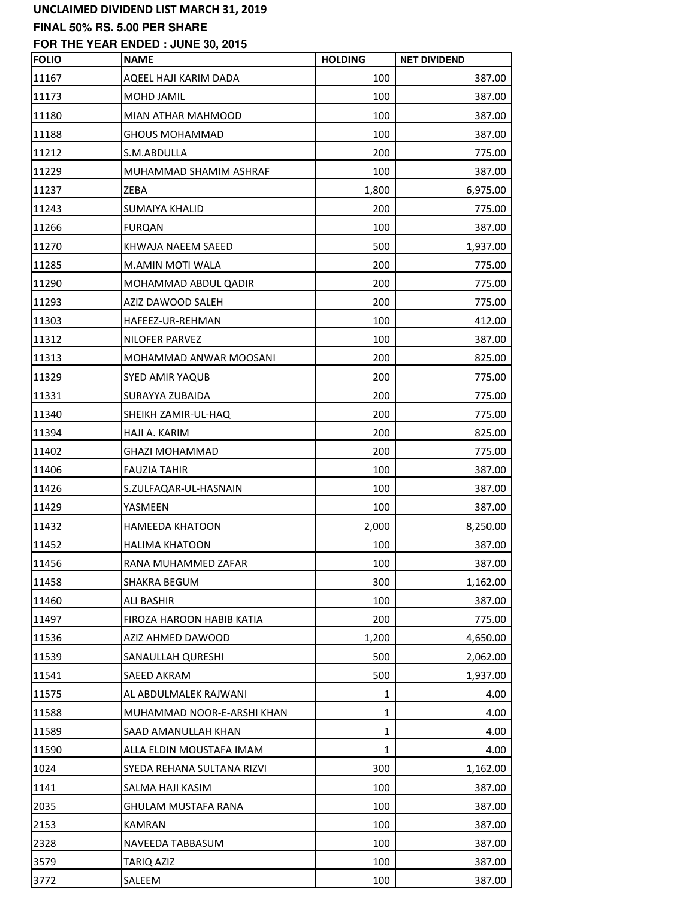### **FINAL 50% RS. 5.00 PER SHARE**

| <b>FOLIO</b> | <b>NAME</b>                | <b>HOLDING</b> | <b>NET DIVIDEND</b> |
|--------------|----------------------------|----------------|---------------------|
| 11167        | AQEEL HAJI KARIM DADA      | 100            | 387.00              |
| 11173        | MOHD JAMIL                 | 100            | 387.00              |
| 11180        | MIAN ATHAR MAHMOOD         | 100            | 387.00              |
| 11188        | <b>GHOUS MOHAMMAD</b>      | 100            | 387.00              |
| 11212        | S.M.ABDULLA                | 200            | 775.00              |
| 11229        | MUHAMMAD SHAMIM ASHRAF     | 100            | 387.00              |
| 11237        | ZEBA                       | 1,800          | 6,975.00            |
| 11243        | <b>SUMAIYA KHALID</b>      | 200            | 775.00              |
| 11266        | <b>FURQAN</b>              | 100            | 387.00              |
| 11270        | KHWAJA NAEEM SAEED         | 500            | 1,937.00            |
| 11285        | M.AMIN MOTI WALA           | 200            | 775.00              |
| 11290        | MOHAMMAD ABDUL QADIR       | 200            | 775.00              |
| 11293        | AZIZ DAWOOD SALEH          | 200            | 775.00              |
| 11303        | HAFEEZ-UR-REHMAN           | 100            | 412.00              |
| 11312        | NILOFER PARVEZ             | 100            | 387.00              |
| 11313        | MOHAMMAD ANWAR MOOSANI     | 200            | 825.00              |
| 11329        | <b>SYED AMIR YAQUB</b>     | 200            | 775.00              |
| 11331        | SURAYYA ZUBAIDA            | 200            | 775.00              |
| 11340        | SHEIKH ZAMIR-UL-HAQ        | 200            | 775.00              |
| 11394        | HAJI A. KARIM              | 200            | 825.00              |
| 11402        | <b>GHAZI MOHAMMAD</b>      | 200            | 775.00              |
| 11406        | <b>FAUZIA TAHIR</b>        | 100            | 387.00              |
| 11426        | S.ZULFAQAR-UL-HASNAIN      | 100            | 387.00              |
| 11429        | YASMEEN                    | 100            | 387.00              |
| 11432        | <b>HAMEEDA KHATOON</b>     | 2,000          | 8,250.00            |
| 11452        | <b>HALIMA KHATOON</b>      | 100            | 387.00              |
| 11456        | RANA MUHAMMED ZAFAR        | 100            | 387.00              |
| 11458        | SHAKRA BEGUM               | 300            | 1,162.00            |
| 11460        | <b>ALI BASHIR</b>          | 100            | 387.00              |
| 11497        | FIROZA HAROON HABIB KATIA  | 200            | 775.00              |
| 11536        | AZIZ AHMED DAWOOD          | 1,200          | 4,650.00            |
| 11539        | SANAULLAH QURESHI          | 500            | 2,062.00            |
| 11541        | <b>SAEED AKRAM</b>         | 500            | 1,937.00            |
| 11575        | AL ABDULMALEK RAJWANI      | 1              | 4.00                |
| 11588        | MUHAMMAD NOOR-E-ARSHI KHAN | 1              | 4.00                |
| 11589        | SAAD AMANULLAH KHAN        | 1              | 4.00                |
| 11590        | ALLA ELDIN MOUSTAFA IMAM   | 1              | 4.00                |
| 1024         | SYEDA REHANA SULTANA RIZVI | 300            | 1,162.00            |
| 1141         | SALMA HAJI KASIM           | 100            | 387.00              |
| 2035         | <b>GHULAM MUSTAFA RANA</b> | 100            | 387.00              |
| 2153         | <b>KAMRAN</b>              | 100            | 387.00              |
| 2328         | NAVEEDA TABBASUM           | 100            | 387.00              |
| 3579         | TARIQ AZIZ                 | 100            | 387.00              |
| 3772         | SALEEM                     | 100            | 387.00              |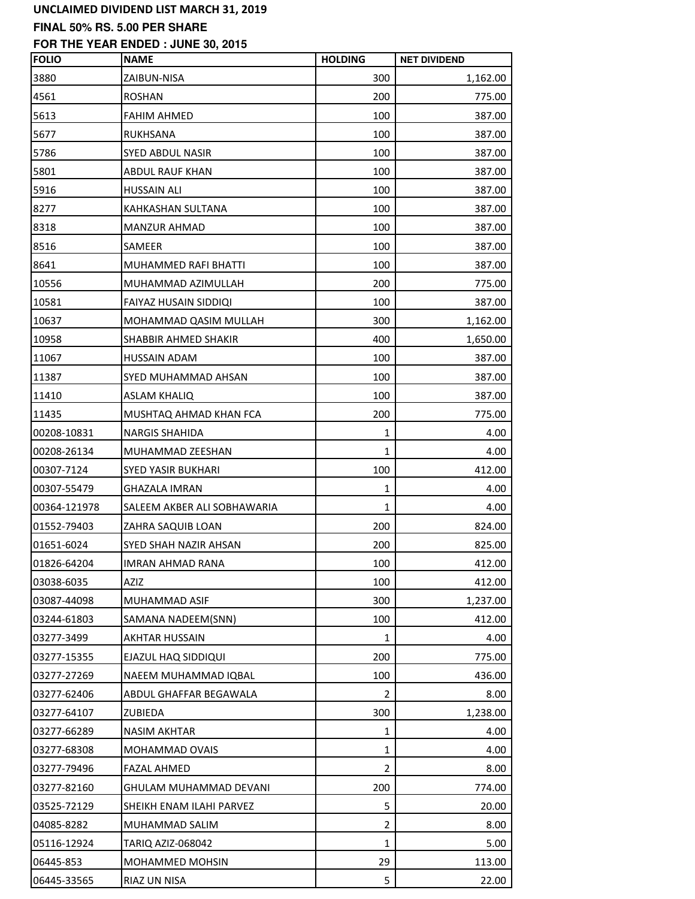# **FINAL 50% RS. 5.00 PER SHARE**

| <b>FOLIO</b> | <b>NAME</b>                 | <b>HOLDING</b> | <b>NET DIVIDEND</b> |
|--------------|-----------------------------|----------------|---------------------|
| 3880         | ZAIBUN-NISA                 | 300            | 1,162.00            |
| 4561         | <b>ROSHAN</b>               | 200            | 775.00              |
| 5613         | <b>FAHIM AHMED</b>          | 100            | 387.00              |
| 5677         | <b>RUKHSANA</b>             | 100            | 387.00              |
| 5786         | SYED ABDUL NASIR            | 100            | 387.00              |
| 5801         | ABDUL RAUF KHAN             | 100            | 387.00              |
| 5916         | <b>HUSSAIN ALI</b>          | 100            | 387.00              |
| 8277         | KAHKASHAN SULTANA           | 100            | 387.00              |
| 8318         | <b>MANZUR AHMAD</b>         | 100            | 387.00              |
| 8516         | SAMEER                      | 100            | 387.00              |
| 8641         | MUHAMMED RAFI BHATTI        | 100            | 387.00              |
| 10556        | MUHAMMAD AZIMULLAH          | 200            | 775.00              |
| 10581        | FAIYAZ HUSAIN SIDDIQI       | 100            | 387.00              |
| 10637        | MOHAMMAD QASIM MULLAH       | 300            | 1,162.00            |
| 10958        | SHABBIR AHMED SHAKIR        | 400            | 1,650.00            |
| 11067        | HUSSAIN ADAM                | 100            | 387.00              |
| 11387        | SYED MUHAMMAD AHSAN         | 100            | 387.00              |
| 11410        | <b>ASLAM KHALIQ</b>         | 100            | 387.00              |
| 11435        | MUSHTAQ AHMAD KHAN FCA      | 200            | 775.00              |
| 00208-10831  | <b>NARGIS SHAHIDA</b>       | 1              | 4.00                |
| 00208-26134  | MUHAMMAD ZEESHAN            | 1              | 4.00                |
| 00307-7124   | SYED YASIR BUKHARI          | 100            | 412.00              |
| 00307-55479  | GHAZALA IMRAN               | 1              | 4.00                |
| 00364-121978 | SALEEM AKBER ALI SOBHAWARIA | $\mathbf{1}$   | 4.00                |
| 01552-79403  | ZAHRA SAQUIB LOAN           | 200            | 824.00              |
| 01651-6024   | SYED SHAH NAZIR AHSAN       | 200            | 825.00              |
| 01826-64204  | IMRAN AHMAD RANA            | 100            | 412.00              |
| 03038-6035   | AZIZ                        | 100            | 412.00              |
| 03087-44098  | MUHAMMAD ASIF               | 300            | 1,237.00            |
| 03244-61803  | SAMANA NADEEM(SNN)          | 100            | 412.00              |
| 03277-3499   | AKHTAR HUSSAIN              | 1              | 4.00                |
| 03277-15355  | EJAZUL HAQ SIDDIQUI         | 200            | 775.00              |
| 03277-27269  | NAEEM MUHAMMAD IQBAL        | 100            | 436.00              |
| 03277-62406  | ABDUL GHAFFAR BEGAWALA      | 2              | 8.00                |
| 03277-64107  | ZUBIEDA                     | 300            | 1,238.00            |
| 03277-66289  | <b>NASIM AKHTAR</b>         | 1              | 4.00                |
| 03277-68308  | MOHAMMAD OVAIS              | 1              | 4.00                |
| 03277-79496  | <b>FAZAL AHMED</b>          | 2              | 8.00                |
| 03277-82160  | GHULAM MUHAMMAD DEVANI      | 200            | 774.00              |
| 03525-72129  | SHEIKH ENAM ILAHI PARVEZ    | 5              | 20.00               |
| 04085-8282   | MUHAMMAD SALIM              | 2              | 8.00                |
| 05116-12924  | TARIQ AZIZ-068042           | 1              | 5.00                |
| 06445-853    | MOHAMMED MOHSIN             | 29             | 113.00              |
| 06445-33565  | RIAZ UN NISA                | 5              | 22.00               |